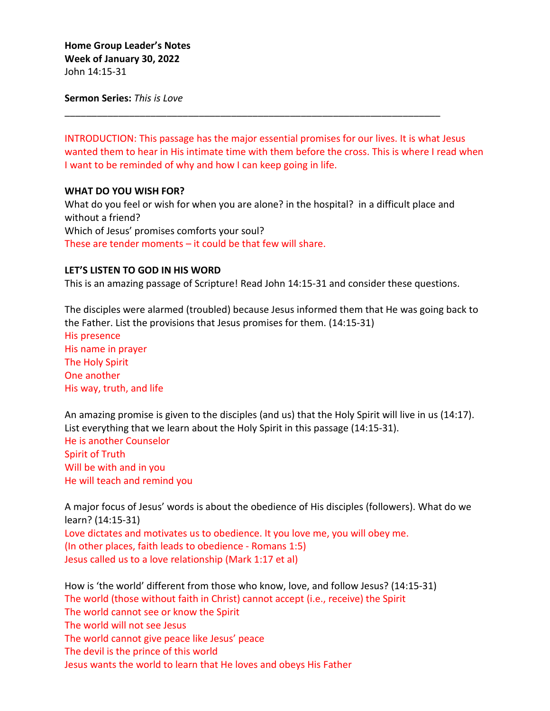**Sermon Series:** *This is Love*

INTRODUCTION: This passage has the major essential promises for our lives. It is what Jesus wanted them to hear in His intimate time with them before the cross. This is where I read when I want to be reminded of why and how I can keep going in life.

\_\_\_\_\_\_\_\_\_\_\_\_\_\_\_\_\_\_\_\_\_\_\_\_\_\_\_\_\_\_\_\_\_\_\_\_\_\_\_\_\_\_\_\_\_\_\_\_\_\_\_\_\_\_\_\_\_\_\_\_\_\_\_\_\_\_\_\_\_\_

## **WHAT DO YOU WISH FOR?**

What do you feel or wish for when you are alone? in the hospital? in a difficult place and without a friend? Which of Jesus' promises comforts your soul? These are tender moments – it could be that few will share.

## **LET'S LISTEN TO GOD IN HIS WORD**

This is an amazing passage of Scripture! Read John 14:15-31 and consider these questions.

The disciples were alarmed (troubled) because Jesus informed them that He was going back to the Father. List the provisions that Jesus promises for them. (14:15-31)

His presence His name in prayer The Holy Spirit One another His way, truth, and life

An amazing promise is given to the disciples (and us) that the Holy Spirit will live in us (14:17). List everything that we learn about the Holy Spirit in this passage (14:15-31). He is another Counselor Spirit of Truth Will be with and in you He will teach and remind you

A major focus of Jesus' words is about the obedience of His disciples (followers). What do we learn? (14:15-31) Love dictates and motivates us to obedience. It you love me, you will obey me. (In other places, faith leads to obedience - Romans 1:5) Jesus called us to a love relationship (Mark 1:17 et al)

How is 'the world' different from those who know, love, and follow Jesus? (14:15-31) The world (those without faith in Christ) cannot accept (i.e., receive) the Spirit The world cannot see or know the Spirit The world will not see Jesus The world cannot give peace like Jesus' peace The devil is the prince of this world Jesus wants the world to learn that He loves and obeys His Father